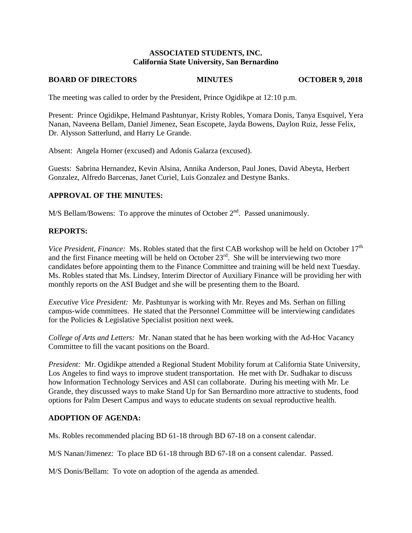### **ASSOCIATED STUDENTS, INC. California State University, San Bernardino**

#### **BOARD OF DIRECTORS MINUTES OCTOBER 9, 2018**

The meeting was called to order by the President, Prince Ogidikpe at 12:10 p.m.

Present: Prince Ogidikpe, Helmand Pashtunyar, Kristy Robles, Yomara Donis, Tanya Esquivel, Yera Nanan, Naveena Bellam, Daniel Jimenez, Sean Escopete, Jayda Bowens, Daylon Ruiz, Jesse Felix, Dr. Alysson Satterlund, and Harry Le Grande.

Absent: Angela Horner (excused) and Adonis Galarza (excused).

Guests: Sabrina Hernandez, Kevin Alsina, Annika Anderson, Paul Jones, David Abeyta, Herbert Gonzalez, Alfredo Barcenas, Janet Curiel, Luis Gonzalez and Destyne Banks.

### **APPROVAL OF THE MINUTES:**

M/S Bellam/Bowens: To approve the minutes of October 2<sup>nd</sup>. Passed unanimously.

#### **REPORTS:**

*Vice President, Finance:* Ms. Robles stated that the first CAB workshop will be held on October 17<sup>th</sup> and the first Finance meeting will be held on October 23<sup>rd</sup>. She will be interviewing two more candidates before appointing them to the Finance Committee and training will be held next Tuesday. Ms. Robles stated that Ms. Lindsey, Interim Director of Auxiliary Finance will be providing her with monthly reports on the ASI Budget and she will be presenting them to the Board.

*Executive Vice President:* Mr. Pashtunyar is working with Mr. Reyes and Ms. Serhan on filling campus-wide committees. He stated that the Personnel Committee will be interviewing candidates for the Policies & Legislative Specialist position next week.

*College of Arts and Letters:* Mr. Nanan stated that he has been working with the Ad-Hoc Vacancy Committee to fill the vacant positions on the Board.

*President:* Mr. Ogidikpe attended a Regional Student Mobility forum at California State University, Los Angeles to find ways to improve student transportation. He met with Dr. Sudhakar to discuss how Information Technology Services and ASI can collaborate. During his meeting with Mr. Le Grande, they discussed ways to make Stand Up for San Bernardino more attractive to students, food options for Palm Desert Campus and ways to educate students on sexual reproductive health.

### **ADOPTION OF AGENDA:**

Ms. Robles recommended placing BD 61-18 through BD 67-18 on a consent calendar.

M/S Nanan/Jimenez: To place BD 61-18 through BD 67-18 on a consent calendar. Passed.

M/S Donis/Bellam: To vote on adoption of the agenda as amended.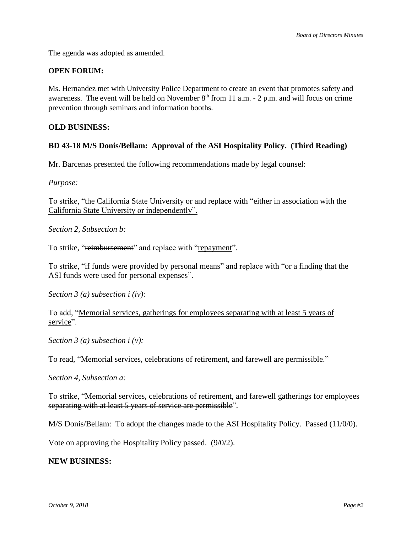The agenda was adopted as amended.

### **OPEN FORUM:**

Ms. Hernandez met with University Police Department to create an event that promotes safety and awareness. The event will be held on November  $8<sup>th</sup>$  from 11 a.m. - 2 p.m. and will focus on crime prevention through seminars and information booths.

#### **OLD BUSINESS:**

### **BD 43-18 M/S Donis/Bellam: Approval of the ASI Hospitality Policy. (Third Reading)**

Mr. Barcenas presented the following recommendations made by legal counsel:

*Purpose:*

To strike, "the California State University or and replace with "either in association with the California State University or independently".

*Section 2, Subsection b:*

To strike, "reimbursement" and replace with "repayment".

To strike, "if funds were provided by personal means" and replace with "or a finding that the ASI funds were used for personal expenses".

*Section 3 (a) subsection i (iv):*

To add, "Memorial services, gatherings for employees separating with at least 5 years of service".

*Section 3 (a) subsection i (v):*

To read, "Memorial services, celebrations of retirement, and farewell are permissible."

*Section 4, Subsection a:*

To strike, "Memorial services, celebrations of retirement, and farewell gatherings for employees separating with at least 5 years of service are permissible".

M/S Donis/Bellam: To adopt the changes made to the ASI Hospitality Policy. Passed (11/0/0).

Vote on approving the Hospitality Policy passed. (9/0/2).

### **NEW BUSINESS:**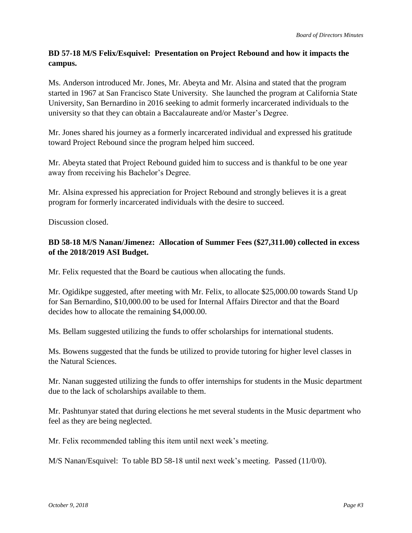# **BD 57-18 M/S Felix/Esquivel: Presentation on Project Rebound and how it impacts the campus.**

Ms. Anderson introduced Mr. Jones, Mr. Abeyta and Mr. Alsina and stated that the program started in 1967 at San Francisco State University. She launched the program at California State University, San Bernardino in 2016 seeking to admit formerly incarcerated individuals to the university so that they can obtain a Baccalaureate and/or Master's Degree.

Mr. Jones shared his journey as a formerly incarcerated individual and expressed his gratitude toward Project Rebound since the program helped him succeed.

Mr. Abeyta stated that Project Rebound guided him to success and is thankful to be one year away from receiving his Bachelor's Degree.

Mr. Alsina expressed his appreciation for Project Rebound and strongly believes it is a great program for formerly incarcerated individuals with the desire to succeed.

Discussion closed.

# **BD 58-18 M/S Nanan/Jimenez: Allocation of Summer Fees (\$27,311.00) collected in excess of the 2018/2019 ASI Budget.**

Mr. Felix requested that the Board be cautious when allocating the funds.

Mr. Ogidikpe suggested, after meeting with Mr. Felix, to allocate \$25,000.00 towards Stand Up for San Bernardino, \$10,000.00 to be used for Internal Affairs Director and that the Board decides how to allocate the remaining \$4,000.00.

Ms. Bellam suggested utilizing the funds to offer scholarships for international students.

Ms. Bowens suggested that the funds be utilized to provide tutoring for higher level classes in the Natural Sciences.

Mr. Nanan suggested utilizing the funds to offer internships for students in the Music department due to the lack of scholarships available to them.

Mr. Pashtunyar stated that during elections he met several students in the Music department who feel as they are being neglected.

Mr. Felix recommended tabling this item until next week's meeting.

M/S Nanan/Esquivel: To table BD 58-18 until next week's meeting. Passed (11/0/0).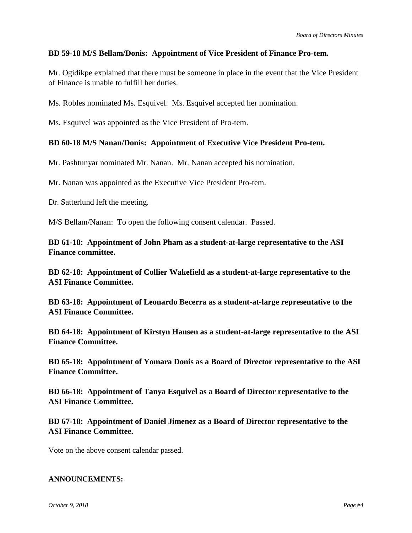## **BD 59-18 M/S Bellam/Donis: Appointment of Vice President of Finance Pro-tem.**

Mr. Ogidikpe explained that there must be someone in place in the event that the Vice President of Finance is unable to fulfill her duties.

Ms. Robles nominated Ms. Esquivel. Ms. Esquivel accepted her nomination.

Ms. Esquivel was appointed as the Vice President of Pro-tem.

### **BD 60-18 M/S Nanan/Donis: Appointment of Executive Vice President Pro-tem.**

Mr. Pashtunyar nominated Mr. Nanan. Mr. Nanan accepted his nomination.

Mr. Nanan was appointed as the Executive Vice President Pro-tem.

Dr. Satterlund left the meeting.

M/S Bellam/Nanan: To open the following consent calendar. Passed.

**BD 61-18: Appointment of John Pham as a student-at-large representative to the ASI Finance committee.**

**BD 62-18: Appointment of Collier Wakefield as a student-at-large representative to the ASI Finance Committee.**

**BD 63-18: Appointment of Leonardo Becerra as a student-at-large representative to the ASI Finance Committee.**

**BD 64-18: Appointment of Kirstyn Hansen as a student-at-large representative to the ASI Finance Committee.**

**BD 65-18: Appointment of Yomara Donis as a Board of Director representative to the ASI Finance Committee.**

**BD 66-18: Appointment of Tanya Esquivel as a Board of Director representative to the ASI Finance Committee.**

**BD 67-18: Appointment of Daniel Jimenez as a Board of Director representative to the ASI Finance Committee.**

Vote on the above consent calendar passed.

#### **ANNOUNCEMENTS:**